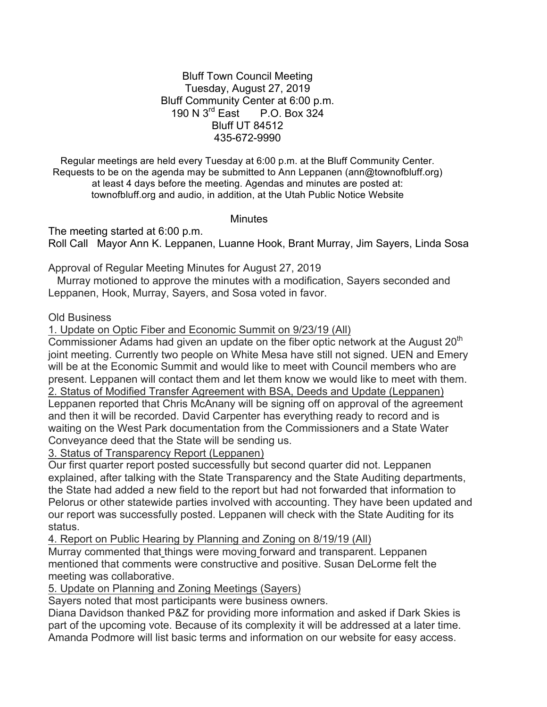## Bluff Town Council Meeting Tuesday, August 27, 2019 Bluff Community Center at 6:00 p.m. 190 N 3rd East P.O. Box 324 Bluff UT 84512 435-672-9990

Regular meetings are held every Tuesday at 6:00 p.m. at the Bluff Community Center. Requests to be on the agenda may be submitted to Ann Leppanen (ann@townofbluff.org) at least 4 days before the meeting. Agendas and minutes are posted at: townofbluff.org and audio, in addition, at the Utah Public Notice Website

**Minutes** 

The meeting started at 6:00 p.m. Roll Call Mayor Ann K. Leppanen, Luanne Hook, Brant Murray, Jim Sayers, Linda Sosa

Approval of Regular Meeting Minutes for August 27, 2019

 Murray motioned to approve the minutes with a modification, Sayers seconded and Leppanen, Hook, Murray, Sayers, and Sosa voted in favor.

## Old Business

1. Update on Optic Fiber and Economic Summit on 9/23/19 (All)

Commissioner Adams had given an update on the fiber optic network at the August  $20<sup>th</sup>$ joint meeting. Currently two people on White Mesa have still not signed. UEN and Emery will be at the Economic Summit and would like to meet with Council members who are present. Leppanen will contact them and let them know we would like to meet with them. 2. Status of Modified Transfer Agreement with BSA, Deeds and Update (Leppanen) Leppanen reported that Chris McAnany will be signing off on approval of the agreement and then it will be recorded. David Carpenter has everything ready to record and is waiting on the West Park documentation from the Commissioners and a State Water Conveyance deed that the State will be sending us.

3. Status of Transparency Report (Leppanen)

Our first quarter report posted successfully but second quarter did not. Leppanen explained, after talking with the State Transparency and the State Auditing departments, the State had added a new field to the report but had not forwarded that information to Pelorus or other statewide parties involved with accounting. They have been updated and our report was successfully posted. Leppanen will check with the State Auditing for its status.

4. Report on Public Hearing by Planning and Zoning on 8/19/19 (All) Murray commented that things were moving forward and transparent. Leppanen mentioned that comments were constructive and positive. Susan DeLorme felt the meeting was collaborative.

5. Update on Planning and Zoning Meetings (Sayers)

Sayers noted that most participants were business owners.

Diana Davidson thanked P&Z for providing more information and asked if Dark Skies is part of the upcoming vote. Because of its complexity it will be addressed at a later time. Amanda Podmore will list basic terms and information on our website for easy access.